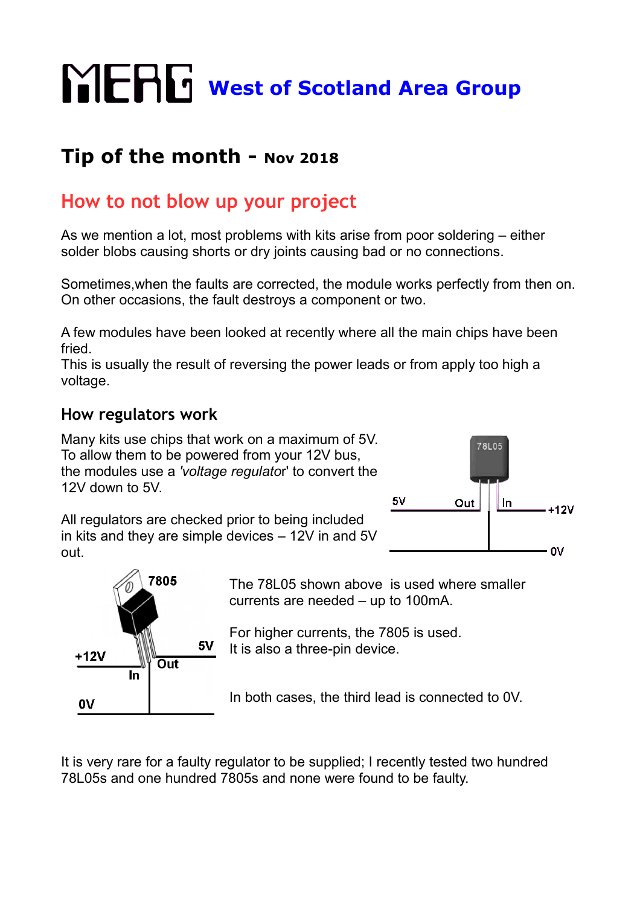# **WERG** West of Scotland Area Group

## **Tip of the month - Nov 2018**

### **How to not blow up your project**

As we mention a lot, most problems with kits arise from poor soldering – either solder blobs causing shorts or dry joints causing bad or no connections.

Sometimes,when the faults are corrected, the module works perfectly from then on. On other occasions, the fault destroys a component or two.

A few modules have been looked at recently where all the main chips have been fried.

This is usually the result of reversing the power leads or from apply too high a voltage.

#### **How regulators work**

Many kits use chips that work on a maximum of 5V. To allow them to be powered from your 12V bus, the modules use a *'voltage regulato*r' to convert the 12V down to 5V.

All regulators are checked prior to being included in kits and they are simple devices – 12V in and 5V out.





The 78L05 shown above is used where smaller currents are needed – up to 100mA.

For higher currents, the 7805 is used. It is also a three-pin device.

In both cases, the third lead is connected to 0V.

It is very rare for a faulty regulator to be supplied; I recently tested two hundred 78L05s and one hundred 7805s and none were found to be faulty.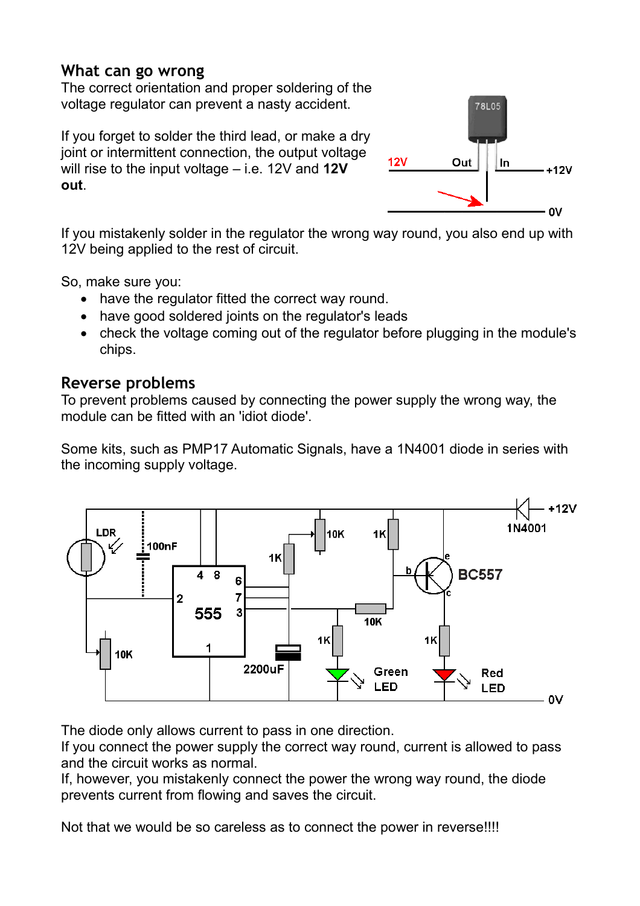#### **What can go wrong**

The correct orientation and proper soldering of the voltage regulator can prevent a nasty accident.

If you forget to solder the third lead, or make a dry joint or intermittent connection, the output voltage will rise to the input voltage – i.e. 12V and **12V out**.



If you mistakenly solder in the regulator the wrong way round, you also end up with 12V being applied to the rest of circuit.

So, make sure you:

- have the regulator fitted the correct way round.
- have good soldered joints on the regulator's leads
- check the voltage coming out of the regulator before plugging in the module's chips.

#### **Reverse problems**

To prevent problems caused by connecting the power supply the wrong way, the module can be fitted with an 'idiot diode'.

Some kits, such as PMP17 Automatic Signals, have a 1N4001 diode in series with the incoming supply voltage.



The diode only allows current to pass in one direction.

If you connect the power supply the correct way round, current is allowed to pass and the circuit works as normal.

If, however, you mistakenly connect the power the wrong way round, the diode prevents current from flowing and saves the circuit.

Not that we would be so careless as to connect the power in reverse!!!!